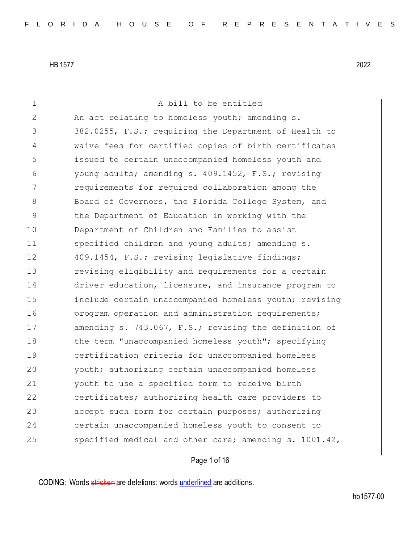1 A bill to be entitled 2 An act relating to homeless youth; amending s. 3 382.0255, F.S.; requiring the Department of Health to 4 waive fees for certified copies of birth certificates 5 issued to certain unaccompanied homeless youth and 6 young adults; amending s. 409.1452, F.S.; revising 7 requirements for required collaboration among the 8 Board of Governors, the Florida College System, and 9 the Department of Education in working with the 10 Department of Children and Families to assist 11 Specified children and young adults; amending s. 12 409.1454, F.S.; revising legislative findings; 13 13 revising eligibility and requirements for a certain 14 driver education, licensure, and insurance program to 15 **include certain unaccompanied homeless youth;** revising 16 **program operation and administration requirements;** 17 amending s. 743.067, F.S.; revising the definition of 18 the term "unaccompanied homeless youth"; specifying 19 certification criteria for unaccompanied homeless 20 youth; authorizing certain unaccompanied homeless 21 youth to use a specified form to receive birth 22 certificates; authorizing health care providers to 23 accept such form for certain purposes; authorizing 24 certain unaccompanied homeless youth to consent to 25 specified medical and other care; amending s. 1001.42,

# Page 1 of 16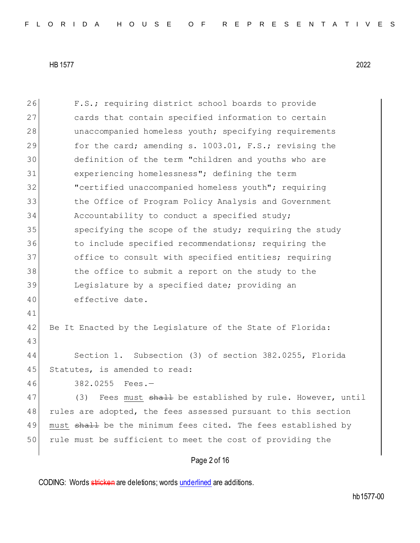Page 2 of 16 26 F.S.; requiring district school boards to provide 27 cards that contain specified information to certain 28 unaccompanied homeless youth; specifying requirements 29 for the card; amending s. 1003.01, F.S.; revising the 30 definition of the term "children and youths who are 31 experiencing homelessness"; defining the term 32 "certified unaccompanied homeless youth"; requiring 33 the Office of Program Policy Analysis and Government 34 Accountability to conduct a specified study; 35 specifying the scope of the study; requiring the study 36 to include specified recommendations; requiring the 37 office to consult with specified entities; requiring 38 the office to submit a report on the study to the 39 Legislature by a specified date; providing an 40 effective date. 41 42 Be It Enacted by the Legislature of the State of Florida: 43 44 Section 1. Subsection (3) of section 382.0255, Florida 45 Statutes, is amended to read: 46 382.0255 Fees.— 47 (3) Fees must shall be established by rule. However, until 48 rules are adopted, the fees assessed pursuant to this section 49 must shall be the minimum fees cited. The fees established by 50 rule must be sufficient to meet the cost of providing the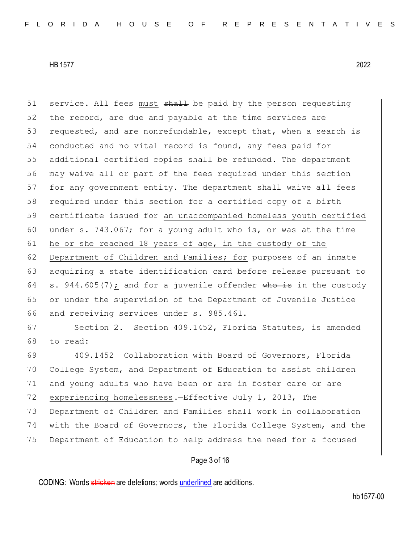51 service. All fees must shall be paid by the person requesting 52 the record, are due and payable at the time services are 53 requested, and are nonrefundable, except that, when a search is 54 conducted and no vital record is found, any fees paid for 55 additional certified copies shall be refunded. The department 56 may waive all or part of the fees required under this section 57 for any government entity. The department shall waive all fees 58 required under this section for a certified copy of a birth 59 certificate issued for an unaccompanied homeless youth certified 60 under s. 743.067; for a young adult who is, or was at the time 61 he or she reached 18 years of age, in the custody of the 62 Department of Children and Families; for purposes of an inmate 63 acquiring a state identification card before release pursuant to 64 s. 944.605(7); and for a juvenile offender who is in the custody 65 or under the supervision of the Department of Juvenile Justice 66 and receiving services under s. 985.461. 67 Section 2. Section 409.1452, Florida Statutes, is amended 68 to read: 69 409.1452 Collaboration with Board of Governors, Florida 70 College System, and Department of Education to assist children 71 and young adults who have been or are in foster care or are 72 experiencing homelessness.—<del>Effective July 1, 2013,</del> The 73 Department of Children and Families shall work in collaboration 74 with the Board of Governors, the Florida College System, and the 75 Department of Education to help address the need for a focused

# Page 3 of 16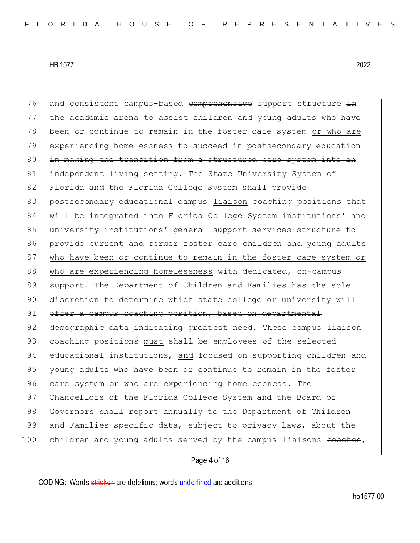76 and consistent campus-based comprehensive support structure in  $77$  the academic arena to assist children and young adults who have 78 been or continue to remain in the foster care system or who are 79 experiencing homelessness to succeed in postsecondary education 80 in making the transition from a structured care system into an 81 independent living setting. The State University System of 82 Florida and the Florida College System shall provide 83 postsecondary educational campus liaison coaching positions that 84 will be integrated into Florida College System institutions' and 85 university institutions' general support services structure to 86 provide current and former foster care children and young adults 87 who have been or continue to remain in the foster care system or 88 who are experiencing homelessness with dedicated, on-campus 89 support. The Department of Children and Families has the sole 90 discretion to determine which state college or university will 91 offer a campus coaching position, based on departmental 92 demographic data indicating greatest need. These campus liaison 93 coaching positions must shall be employees of the selected 94 educational institutions, and focused on supporting children and 95 young adults who have been or continue to remain in the foster 96 care system or who are experiencing homelessness. The 97 Chancellors of the Florida College System and the Board of 98 Governors shall report annually to the Department of Children 99 and Families specific data, subject to privacy laws, about the 100 children and young adults served by the campus liaisons <del>coaches</del>,

# Page 4 of 16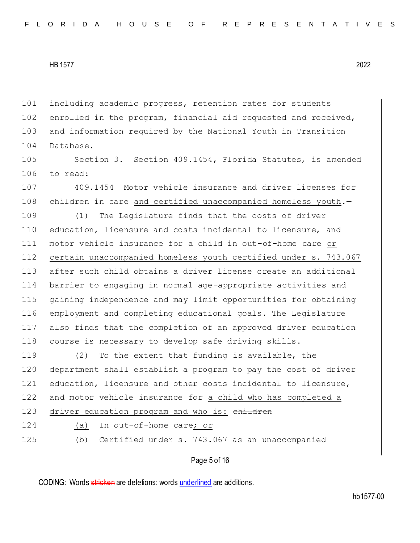101 including academic progress, retention rates for students 102 enrolled in the program, financial aid requested and received, 103 and information required by the National Youth in Transition 104 Database.

105 Section 3. Section 409.1454, Florida Statutes, is amended 106 to read:

107 409.1454 Motor vehicle insurance and driver licenses for 108 children in care and certified unaccompanied homeless youth.-

 (1) The Legislature finds that the costs of driver education, licensure and costs incidental to licensure, and motor vehicle insurance for a child in out-of-home care or 112 certain unaccompanied homeless youth certified under s. 743.067 after such child obtains a driver license create an additional barrier to engaging in normal age-appropriate activities and gaining independence and may limit opportunities for obtaining employment and completing educational goals. The Legislature also finds that the completion of an approved driver education course is necessary to develop safe driving skills.

 (2) To the extent that funding is available, the department shall establish a program to pay the cost of driver education, licensure and other costs incidental to licensure, and motor vehicle insurance for a child who has completed a 123 driver education program and who is: children

- 
- 

124 (a) In out-of-home care; or 125 (b) Certified under s. 743.067 as an unaccompanied

Page 5 of 16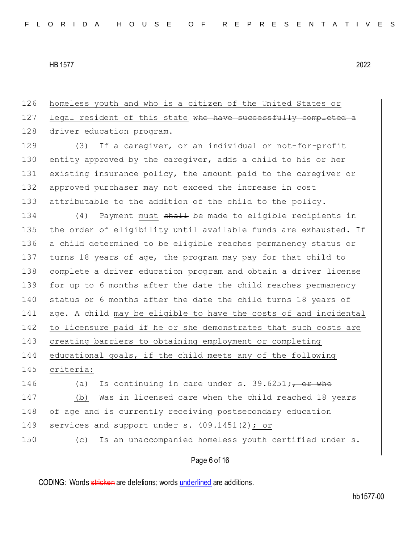126 homeless youth and who is a citizen of the United States or 127 legal resident of this state who have successfully completed a 128 driver education program. 129 (3) If a caregiver, or an individual or not-for-profit 130 entity approved by the caregiver, adds a child to his or her 131 existing insurance policy, the amount paid to the caregiver or 132 approved purchaser may not exceed the increase in cost 133 attributable to the addition of the child to the policy. 134 (4) Payment must shall be made to eligible recipients in 135 the order of eligibility until available funds are exhausted. If 136 a child determined to be eligible reaches permanency status or 137 turns 18 years of age, the program may pay for that child to 138 complete a driver education program and obtain a driver license 139 for up to 6 months after the date the child reaches permanency 140 status or 6 months after the date the child turns 18 years of 141 age. A child may be eligible to have the costs of and incidental 142 to licensure paid if he or she demonstrates that such costs are 143 creating barriers to obtaining employment or completing 144 educational goals, if the child meets any of the following 145 criteria: 146  $(a)$  Is continuing in care under s. 39.6251 $\frac{1}{17}$  or who 147 (b) Was in licensed care when the child reached 18 years 148 of age and is currently receiving postsecondary education 149 services and support under s. 409.1451(2); or 150 (c) Is an unaccompanied homeless youth certified under s.

# Page 6 of 16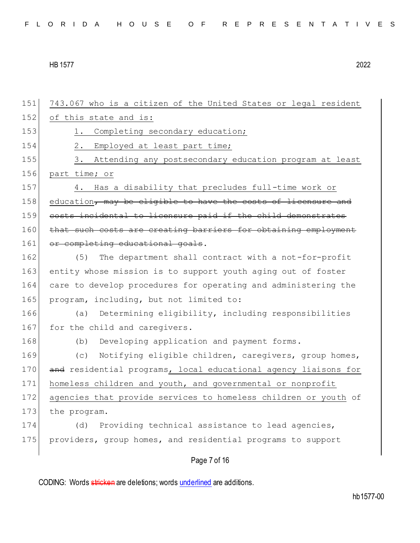151 743.067 who is a citizen of the United States or legal resident 152 of this state and is: 153 1. Completing secondary education; 154 2. Employed at least part time; 155 3. Attending any postsecondary education program at least 156 part time; or 157 4. Has a disability that precludes full-time work or 158 education, may be eligible to have the costs of licensure and 159 costs incidental to licensure paid if the child demonstrates 160 that such costs are creating barriers for obtaining employment 161 or completing educational goals. 162 (5) The department shall contract with a not-for-profit 163 entity whose mission is to support youth aging out of foster 164 care to develop procedures for operating and administering the 165 program, including, but not limited to: 166 (a) Determining eligibility, including responsibilities 167 for the child and caregivers. 168 (b) Developing application and payment forms. 169 (c) Notifying eligible children, caregivers, group homes, 170 and residential programs, local educational agency liaisons for 171 homeless children and youth, and governmental or nonprofit 172 agencies that provide services to homeless children or youth of 173 the program. 174 (d) Providing technical assistance to lead agencies, 175 providers, group homes, and residential programs to support

Page 7 of 16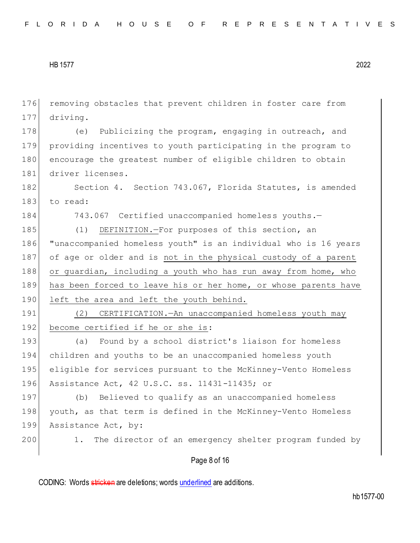Page 8 of 16 176 removing obstacles that prevent children in foster care from 177 driving. 178 (e) Publicizing the program, engaging in outreach, and 179 providing incentives to youth participating in the program to 180 encourage the greatest number of eligible children to obtain 181 driver licenses. 182 Section 4. Section 743.067, Florida Statutes, is amended 183 to read: 184 743.067 Certified unaccompanied homeless youths.-185 (1) DEFINITION.-For purposes of this section, an 186 "unaccompanied homeless youth" is an individual who is 16 years 187 of age or older and is not in the physical custody of a parent 188 or guardian, including a youth who has run away from home, who 189 has been forced to leave his or her home, or whose parents have 190 left the area and left the youth behind. 191 (2) CERTIFICATION.—An unaccompanied homeless youth may 192 become certified if he or she is: 193 (a) Found by a school district's liaison for homeless 194 children and youths to be an unaccompanied homeless youth 195 eligible for services pursuant to the McKinney-Vento Homeless 196 Assistance Act, 42 U.S.C. ss. 11431-11435; or 197 (b) Believed to qualify as an unaccompanied homeless 198 youth, as that term is defined in the McKinney-Vento Homeless 199 Assistance Act, by: 200 1. The director of an emergency shelter program funded by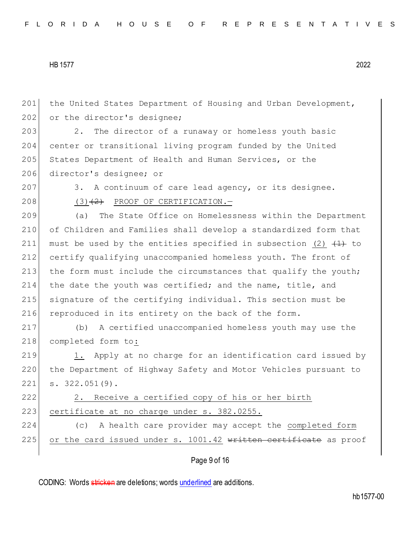201 the United States Department of Housing and Urban Development, 202 or the director's designee; 203 2. The director of a runaway or homeless youth basic 204 center or transitional living program funded by the United 205 States Department of Health and Human Services, or the 206 director's designee; or 207 3. A continuum of care lead agency, or its designee. 208  $(3)$   $(2)$  PROOF OF CERTIFICATION. 209 (a) The State Office on Homelessness within the Department 210 of Children and Families shall develop a standardized form that 211 must be used by the entities specified in subsection (2)  $(1)$  to 212 certify qualifying unaccompanied homeless youth. The front of 213 the form must include the circumstances that qualify the youth; 214 the date the youth was certified; and the name, title, and 215 signature of the certifying individual. This section must be 216 reproduced in its entirety on the back of the form. 217 (b) A certified unaccompanied homeless youth may use the 218 completed form to: 219 1. Apply at no charge for an identification card issued by 220 the Department of Highway Safety and Motor Vehicles pursuant to 221 s. 322.051(9). 222 2. Receive a certified copy of his or her birth 223 certificate at no charge under s. 382.0255. 224 (c) A health care provider may accept the completed form 225 or the card issued under s.  $1001.42$  written certificate as proof

Page 9 of 16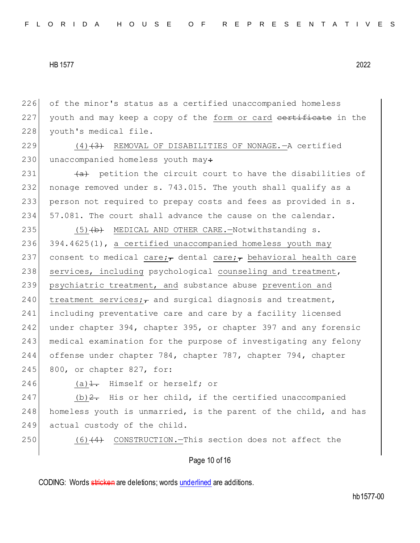226 of the minor's status as a certified unaccompanied homeless  $227$  youth and may keep a copy of the form or card contriguate in the 228 youth's medical file.

229  $(4)$   $(3)$  REMOVAL OF DISABILITIES OF NONAGE. A certified 230 unaccompanied homeless youth may:

 $\left(4a\right)$  petition the circuit court to have the disabilities of nonage removed under s. 743.015. The youth shall qualify as a person not required to prepay costs and fees as provided in s. 234 57.081. The court shall advance the cause on the calendar.

235 (5) (b) MEDICAL AND OTHER CARE. - Notwithstanding s.  $236$  394.4625(1), a certified unaccompanied homeless youth may 237 consent to medical care; dental care; behavioral health care 238 services, including psychological counseling and treatment, 239 psychiatric treatment, and substance abuse prevention and 240 treatment services; and surgical diagnosis and treatment, 241 including preventative care and care by a facility licensed 242 under chapter 394, chapter 395, or chapter 397 and any forensic 243 medical examination for the purpose of investigating any felony 244 offense under chapter 784, chapter 787, chapter 794, chapter 245 800, or chapter 827, for:

246 (a) $\frac{1}{1}$ . Himself or herself; or

247 (b)  $2.5$  His or her child, if the certified unaccompanied 248 homeless youth is unmarried, is the parent of the child, and has 249 actual custody of the child.

 $250$  (6) $\left(4\right)$  CONSTRUCTION. This section does not affect the

#### Page 10 of 16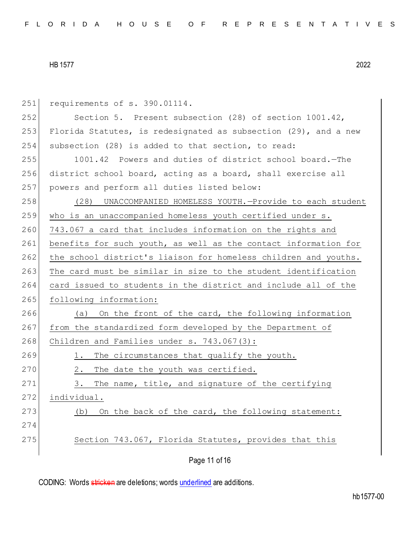| 251 | requirements of s. 390.01114.                                   |
|-----|-----------------------------------------------------------------|
| 252 | Section 5. Present subsection (28) of section 1001.42,          |
| 253 | Florida Statutes, is redesignated as subsection (29), and a new |
| 254 | subsection (28) is added to that section, to read:              |
| 255 | 1001.42 Powers and duties of district school board. - The       |
| 256 | district school board, acting as a board, shall exercise all    |
| 257 | powers and perform all duties listed below:                     |
| 258 | (28) UNACCOMPANIED HOMELESS YOUTH.-Provide to each student      |
| 259 | who is an unaccompanied homeless youth certified under s.       |
| 260 | 743.067 a card that includes information on the rights and      |
| 261 | benefits for such youth, as well as the contact information for |
| 262 | the school district's liaison for homeless children and youths. |
| 263 | The card must be similar in size to the student identification  |
| 264 | card issued to students in the district and include all of the  |
| 265 | following information:                                          |
| 266 | On the front of the card, the following information<br>(a)      |
| 267 | from the standardized form developed by the Department of       |
| 268 | Children and Families under s. 743.067(3):                      |
| 269 | The circumstances that qualify the youth.<br>1.                 |
| 270 | The date the youth was certified.<br>2.                         |
| 271 | The name, title, and signature of the certifying<br>3.          |
| 272 | individual.                                                     |
| 273 | On the back of the card, the following statement:<br>(b)        |
| 274 |                                                                 |
| 275 | Section 743.067, Florida Statutes, provides that this           |
|     |                                                                 |
|     | Page 11 of 16                                                   |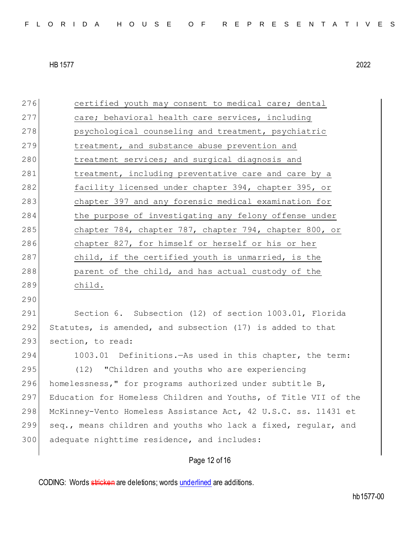276 certified youth may consent to medical care; dental 277 care; behavioral health care services, including 278 psychological counseling and treatment, psychiatric 279 treatment, and substance abuse prevention and 280 treatment services; and surgical diagnosis and 281 treatment, including preventative care and care by a 282 facility licensed under chapter 394, chapter 395, or 283 chapter 397 and any forensic medical examination for 284 the purpose of investigating any felony offense under 285 chapter 784, chapter 787, chapter 794, chapter 800, or 286 chapter 827, for himself or herself or his or her 287 child, if the certified youth is unmarried, is the 288 parent of the child, and has actual custody of the 289 child. 290 291 Section 6. Subsection (12) of section 1003.01, Florida 292 Statutes, is amended, and subsection (17) is added to that 293 section, to read: 294 1003.01 Definitions.—As used in this chapter, the term: 295 (12) "Children and youths who are experiencing 296 homelessness," for programs authorized under subtitle B, 297 Education for Homeless Children and Youths, of Title VII of the 298 McKinney-Vento Homeless Assistance Act, 42 U.S.C. ss. 11431 et 299 seq., means children and youths who lack a fixed, regular, and 300 adequate nighttime residence, and includes:

# Page 12 of 16

CODING: Words stricken are deletions; words underlined are additions.

hb1577-00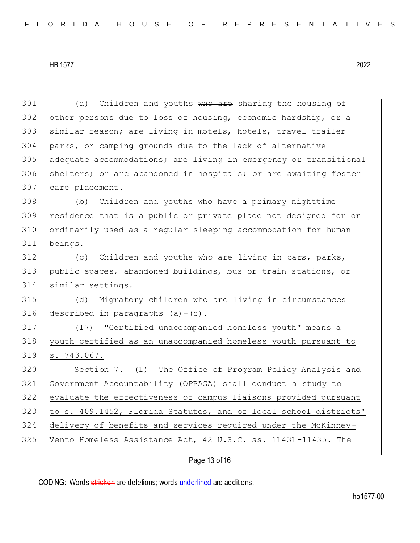301 (a) Children and youths who are sharing the housing of other persons due to loss of housing, economic hardship, or a similar reason; are living in motels, hotels, travel trailer parks, or camping grounds due to the lack of alternative adequate accommodations; are living in emergency or transitional 306 shelters; or are abandoned in hospitals; or are awaiting foster 307 care placement. (b) Children and youths who have a primary nighttime residence that is a public or private place not designed for or ordinarily used as a regular sleeping accommodation for human beings. (c) Children and youths who are living in cars, parks, public spaces, abandoned buildings, bus or train stations, or similar settings. 315 (d) Migratory children who are living in circumstances described in paragraphs (a) - (c). 317 (17) "Certified unaccompanied homeless youth" means a youth certified as an unaccompanied homeless youth pursuant to s. 743.067. Section 7. (1) The Office of Program Policy Analysis and Government Accountability (OPPAGA) shall conduct a study to evaluate the effectiveness of campus liaisons provided pursuant to s. 409.1452, Florida Statutes, and of local school districts' delivery of benefits and services required under the McKinney-325 Vento Homeless Assistance Act, 42 U.S.C. ss. 11431-11435. The

Page 13 of 16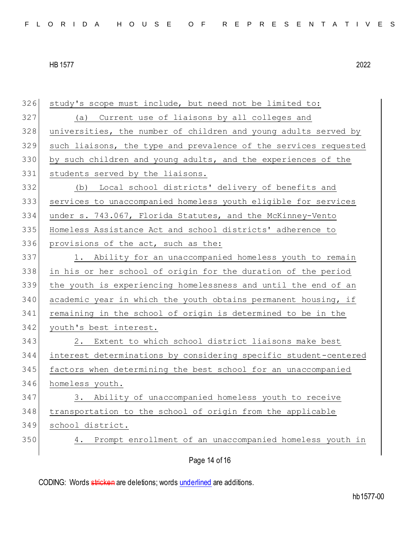Page 14 of 16 study's scope must include, but need not be limited to: (a) Current use of liaisons by all colleges and 328 universities, the number of children and young adults served by such liaisons, the type and prevalence of the services requested by such children and young adults, and the experiences of the 331 students served by the liaisons. (b) Local school districts' delivery of benefits and services to unaccompanied homeless youth eligible for services under s. 743.067, Florida Statutes, and the McKinney-Vento Homeless Assistance Act and school districts' adherence to provisions of the act, such as the: 337 1. Ability for an unaccompanied homeless youth to remain in his or her school of origin for the duration of the period the youth is experiencing homelessness and until the end of an academic year in which the youth obtains permanent housing, if remaining in the school of origin is determined to be in the 342 youth's best interest. 2. Extent to which school district liaisons make best interest determinations by considering specific student-centered factors when determining the best school for an unaccompanied homeless youth. 3. Ability of unaccompanied homeless youth to receive transportation to the school of origin from the applicable school district. 4. Prompt enrollment of an unaccompanied homeless youth in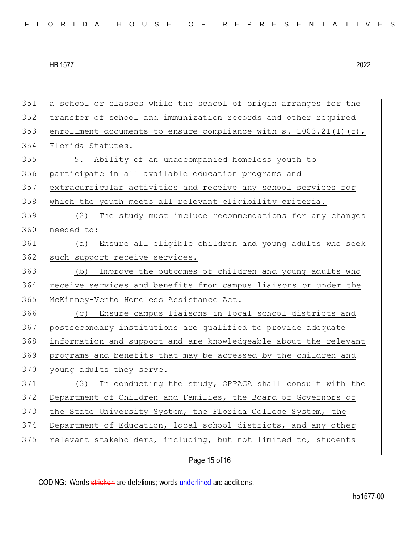a school or classes while the school of origin arranges for the transfer of school and immunization records and other required 353 enrollment documents to ensure compliance with s.  $1003.21(1)(f)$ , Florida Statutes. 5. Ability of an unaccompanied homeless youth to participate in all available education programs and extracurricular activities and receive any school services for which the youth meets all relevant eligibility criteria. (2) The study must include recommendations for any changes needed to: (a) Ensure all eligible children and young adults who seek 362 such support receive services. (b) Improve the outcomes of children and young adults who receive services and benefits from campus liaisons or under the McKinney-Vento Homeless Assistance Act. (c) Ensure campus liaisons in local school districts and postsecondary institutions are qualified to provide adequate information and support and are knowledgeable about the relevant programs and benefits that may be accessed by the children and 370 young adults they serve. 371 (3) In conducting the study, OPPAGA shall consult with the 372 Department of Children and Families, the Board of Governors of 373 the State University System, the Florida College System, the Department of Education, local school districts, and any other 375 relevant stakeholders, including, but not limited to, students

Page 15 of 16